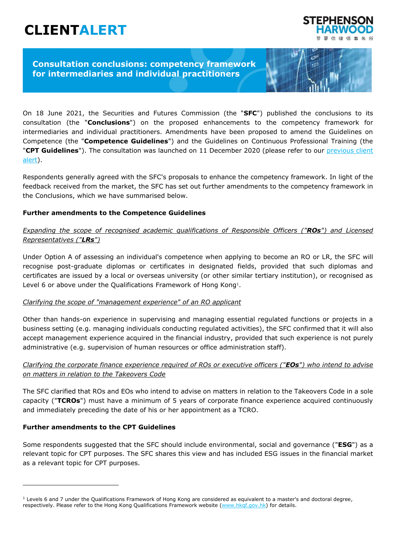# **CLIENTALERT**



1756

# **Consultation conclusions: competency framework for intermediaries and individual practitioners**

On 18 June 2021, the Securities and Futures Commission (the "**SFC**") published the conclusions to its consultation (the "**Conclusions**") on the proposed enhancements to the competency framework for intermediaries and individual practitioners. Amendments have been proposed to amend the Guidelines on Competence (the "**Competence Guidelines**") and the Guidelines on Continuous Professional Training (the "**CPT Guidelines**"). The consultation was launched on 11 December 2020 (please refer to our [previous client](https://www.shlegal.com/news/sfc-consults-on-proposed-enhancements-to-competency-framework-for-intermediaries-and-individual-practitioners)  [alert\)](https://www.shlegal.com/news/sfc-consults-on-proposed-enhancements-to-competency-framework-for-intermediaries-and-individual-practitioners).

Respondents generally agreed with the SFC's proposals to enhance the competency framework. In light of the feedback received from the market, the SFC has set out further amendments to the competency framework in the Conclusions, which we have summarised below.

## **Further amendments to the Competence Guidelines**

## *Expanding the scope of recognised academic qualifications of Responsible Officers ("ROs") and Licensed Representatives ("LRs")*

Under Option A of assessing an individual's competence when applying to become an RO or LR, the SFC will recognise post-graduate diplomas or certificates in designated fields, provided that such diplomas and certificates are issued by a local or overseas university (or other similar tertiary institution), or recognised as Level 6 or above under the Qualifications Framework of Hong Kong<sup>1</sup>.

#### *Clarifying the scope of "management experience" of an RO applicant*

Other than hands-on experience in supervising and managing essential regulated functions or projects in a business setting (e.g. managing individuals conducting regulated activities), the SFC confirmed that it will also accept management experience acquired in the financial industry, provided that such experience is not purely administrative (e.g. supervision of human resources or office administration staff).

## *Clarifying the corporate finance experience required of ROs or executive officers ("EOs") who intend to advise on matters in relation to the Takeovers Code*

The SFC clarified that ROs and EOs who intend to advise on matters in relation to the Takeovers Code in a sole capacity ("**TCROs**") must have a minimum of 5 years of corporate finance experience acquired continuously and immediately preceding the date of his or her appointment as a TCRO.

## **Further amendments to the CPT Guidelines**

Some respondents suggested that the SFC should include environmental, social and governance ("**ESG**") as a relevant topic for CPT purposes. The SFC shares this view and has included ESG issues in the financial market as a relevant topic for CPT purposes.

 $1$  Levels 6 and 7 under the Qualifications Framework of Hong Kong are considered as equivalent to a master's and doctoral degree, respectively. Please refer to the Hong Kong Qualifications Framework website [\(www.hkqf.gov.hk\)](http://www.hkqf.gov.hk/) for details.